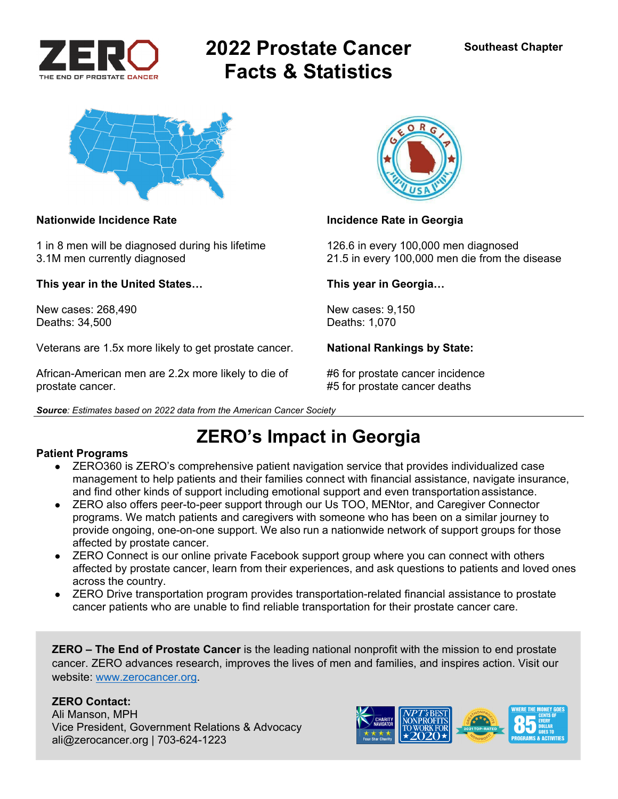

# **2022 Prostate Cancer Facts & Statistics**



### **Nationwide Incidence Rate Incidence Rate in Georgia**

1 in 8 men will be diagnosed during his lifetime 126.6 in every 100,000 men diagnosed

**This year in the United States… This year in Georgia…** 

New cases: 268,490 New cases: 9,150 Deaths: 34,500 Deaths: 1,070

Veterans are 1.5x more likely to get prostate cancer. **National Rankings by State:** 

African-American men are 2.2x more likely to die of #6 for prostate cancer incidence prostate cancer. **A support of the set of the set of the set of the set of the set of the set of the set of the set of the set of the set of the set of the set of the set of the set of the set of the set of the set of the** 



3.1M men currently diagnosed 21.5 in every 100,000 men die from the disease

## **ZERO's Impact in Georgia**

### **Patient Programs**

- ZERO360 is ZERO's comprehensive patient navigation service that provides individualized case management to help patients and their families connect with financial assistance, navigate insurance, and find other kinds of support including emotional support and even transportation assistance.
- ZERO also offers peer-to-peer support through our Us TOO, MENtor, and Caregiver Connector programs. We match patients and caregivers with someone who has been on a similar journey to provide ongoing, one-on-one support. We also run a nationwide network of support groups for those affected by prostate cancer.
- ZERO Connect is our online private Facebook support group where you can connect with others affected by prostate cancer, learn from their experiences, and ask questions to patients and loved ones across the country.
- ZERO Drive transportation program provides transportation-related financial assistance to prostate cancer patients who are unable to find reliable transportation for their prostate cancer care.

**ZERO – The End of Prostate Cancer** is the leading national nonprofit with the mission to end prostate cancer. ZERO advances research, improves the lives of men and families, and inspires action. Visit our website: www.zerocancer.org.

### **ZERO Contact:**

Ali Manson, MPH Vice President, Government Relations & Advocacy ali@zerocancer.org | 703-624-1223